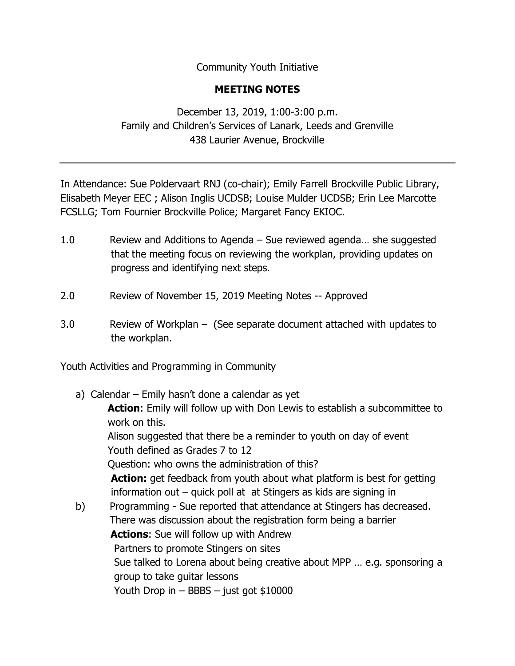Community Youth Initiative

## **MEETING NOTES**

December 13, 2019, 1:00-3:00 p.m. Family and Children's Services of Lanark, Leeds and Grenville 438 Laurier Avenue, Brockville

In Attendance: Sue Poldervaart RNJ (co-chair); Emily Farrell Brockville Public Library, Elisabeth Meyer EEC ; Alison Inglis UCDSB; Louise Mulder UCDSB; Erin Lee Marcotte FCSLLG; Tom Fournier Brockville Police; Margaret Fancy EKIOC.

- 1.0 Review and Additions to Agenda Sue reviewed agenda… she suggested that the meeting focus on reviewing the workplan, providing updates on progress and identifying next steps.
- 2.0 Review of November 15, 2019 Meeting Notes -- Approved
- 3.0 Review of Workplan (See separate document attached with updates to the workplan.

Youth Activities and Programming in Community

a) Calendar – Emily hasn't done a calendar as yet  **Action**: Emily will follow up with Don Lewis to establish a subcommittee to work on this. Alison suggested that there be a reminder to youth on day of event Youth defined as Grades 7 to 12 Question: who owns the administration of this? **Action:** get feedback from youth about what platform is best for getting information out – quick poll at at Stingers as kids are signing in b) Programming - Sue reported that attendance at Stingers has decreased. There was discussion about the registration form being a barrier  **Actions**: Sue will follow up with Andrew Partners to promote Stingers on sites Sue talked to Lorena about being creative about MPP … e.g. sponsoring a group to take guitar lessons Youth Drop in – BBBS – just got \$10000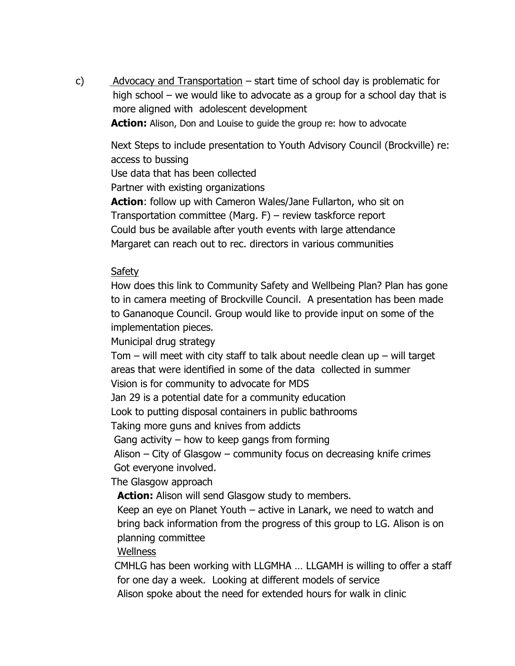c) Advocacy and Transportation – start time of school day is problematic for high school – we would like to advocate as a group for a school day that is more aligned with adolescent development

**Action:** Alison, Don and Louise to guide the group re: how to advocate

 Next Steps to include presentation to Youth Advisory Council (Brockville) re: access to bussing

Use data that has been collected

Partner with existing organizations

 **Action**: follow up with Cameron Wales/Jane Fullarton, who sit on Transportation committee (Marg. F) – review taskforce report Could bus be available after youth events with large attendance Margaret can reach out to rec. directors in various communities

## **Safety**

 How does this link to Community Safety and Wellbeing Plan? Plan has gone to in camera meeting of Brockville Council. A presentation has been made to Gananoque Council. Group would like to provide input on some of the implementation pieces.

Municipal drug strategy

Tom  $-$  will meet with city staff to talk about needle clean up  $-$  will target areas that were identified in some of the data collected in summer Vision is for community to advocate for MDS

Jan 29 is a potential date for a community education

Look to putting disposal containers in public bathrooms

Taking more guns and knives from addicts

Gang activity – how to keep gangs from forming

 Alison – City of Glasgow – community focus on decreasing knife crimes Got everyone involved.

The Glasgow approach

Action: Alison will send Glasgow study to members.

 Keep an eye on Planet Youth – active in Lanark, we need to watch and bring back information from the progress of this group to LG. Alison is on planning committee

Wellness

CMHLG has been working with LLGMHA … LLGAMH is willing to offer a staff for one day a week. Looking at different models of service

Alison spoke about the need for extended hours for walk in clinic